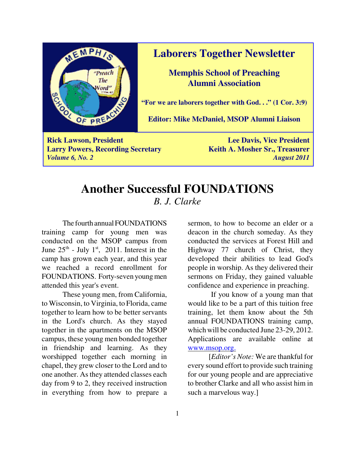

#### **Laborers Together Newsletter**

**Memphis School of Preaching Alumni Association**

**"For we are laborers together with God. . ." (1 Cor. 3:9)**

**Editor: Mike McDaniel, MSOP Alumni Liaison**

**Rick Lawson, President Lee Davis, Vice President Lee Davis, Vice President Larry Powers, Recording Secretary Keith A. Mosher Sr., Treasurer** *Volume 6, No. 2 August 2011*

## **Another Successful FOUNDATIONS** *B. J. Clarke*

The fourth annual FOUNDATIONS training camp for young men was conducted on the MSOP campus from June  $25<sup>th</sup>$  - July 1<sup>st</sup>, 2011. Interest in the camp has grown each year, and this year we reached a record enrollment for FOUNDATIONS. Forty-seven young men attended this year's event.

These young men, from California, to Wisconsin, to Virginia, to Florida, came together to learn how to be better servants in the Lord's church. As they stayed together in the apartments on the MSOP campus, these young men bonded together in friendship and learning. As they worshipped together each morning in chapel, they grew closer to the Lord and to one another. As they attended classes each day from 9 to 2, they received instruction in everything from how to prepare a

sermon, to how to become an elder or a deacon in the church someday. As they conducted the services at Forest Hill and Highway 77 church of Christ, they developed their abilities to lead God's people in worship. As they delivered their sermons on Friday, they gained valuable confidence and experience in preaching.

 If you know of a young man that would like to be a part of this tuition free training, let them know about the 5th annual FOUNDATIONS training camp, which will be conducted June 23-29, 2012. Applications are available online at www.msop.org.

[*Editor's Note:* We are thankful for every sound effort to provide such training for our young people and are appreciative to brother Clarke and all who assist him in such a marvelous way.]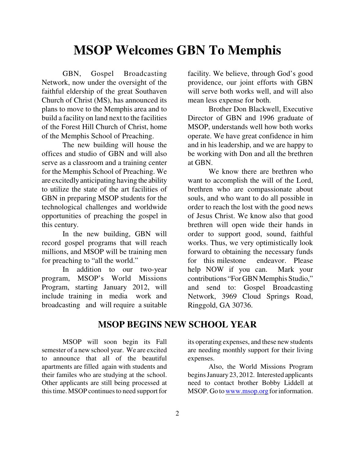# **MSOP Welcomes GBN To Memphis**

GBN, Gospel Broadcasting Network, now under the oversight of the faithful eldership of the great Southaven Church of Christ (MS), has announced its plans to move to the Memphis area and to build a facility on land next to the facilities of the Forest Hill Church of Christ, home of the Memphis School of Preaching.

The new building will house the offices and studio of GBN and will also serve as a classroom and a training center for the Memphis School of Preaching. We are excitedly anticipating having the ability to utilize the state of the art facilities of GBN in preparing MSOP students for the technological challenges and worldwide opportunities of preaching the gospel in this century.

In the new building, GBN will record gospel programs that will reach millions, and MSOP will be training men for preaching to "all the world."

In addition to our two-year program, MSOP's World Missions Program, starting January 2012, will include training in media work and broadcasting and will require a suitable

facility. We believe, through God's good providence, our joint efforts with GBN will serve both works well, and will also mean less expense for both.

Brother Don Blackwell, Executive Director of GBN and 1996 graduate of MSOP, understands well how both works operate. We have great confidence in him and in his leadership, and we are happy to be working with Don and all the brethren at GBN.

We know there are brethren who want to accomplish the will of the Lord, brethren who are compassionate about souls, and who want to do all possible in order to reach the lost with the good news of Jesus Christ. We know also that good brethren will open wide their hands in order to support good, sound, faithful works. Thus, we very optimistically look forward to obtaining the necessary funds for this milestone endeavor. Please help NOW if you can. Mark your contributions "For GBN Memphis Studio," and send to: Gospel Broadcasting Network, 3969 Cloud Springs Road, Ringgold, GA 30736.

#### **MSOP BEGINS NEW SCHOOL YEAR**

MSOP will soon begin its Fall semester of a new school year. We are excited to announce that all of the beautiful apartments are filled again with students and their familes who are studying at the school. Other applicants are still being processed at this time. MSOP continues to need support for

its operating expenses, and these new students are needing monthly support for their living expenses.

Also, the World Missions Program begins January 23, 2012. Interested applicants need to contact brother Bobby Liddell at MSOP. Go to www.msop.org for information.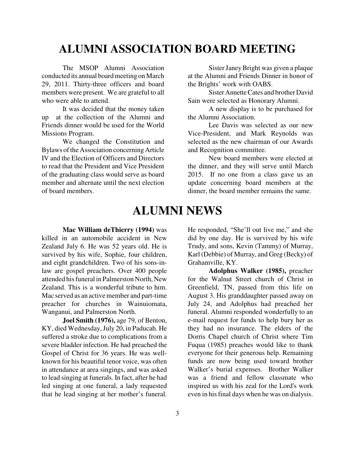## **ALUMNI ASSOCIATION BOARD MEETING**

The MSOP Alumni Association conducted its annual board meeting on March 29, 2011. Thirty-three officers and board members were present. We are grateful to all who were able to attend.

It was decided that the money taken up at the collection of the Alumni and Friends dinner would be used for the World Missions Program.

We changed the Constitution and Bylaws of the Association concerning Article IV and the Election of Officers and Directors to read that the President and Vice President of the graduating class would serve as board member and alternate until the next election of board members.

Sister Janey Bright was given a plaque at the Alumni and Friends Dinner in honor of the Brights' work with OABS.

Sister Annette Cates and brother David Sain were selected as Honorary Alumni.

A new display is to be purchased for the Alumni Association.

Lee Davis was selected as our new Vice-President, and Mark Reynolds was selected as the new chairman of our Awards and Recognition committee.

New board members were elected at the dinner, and they will serve until March 2015. If no one from a class gave us an update concerning board members at the dinner, the board member remains the same.

## **ALUMNI NEWS**

**Mac William deThierry (1994)** was killed in an automobile accident in New Zealand July 6. He was 52 years old. He is survived by his wife, Sophie, four children, and eight grandchildren. Two of his sons-inlaw are gospel preachers. Over 400 people attended his funeral in Palmerston North, New Zealand. This is a wonderful tribute to him. Mac served as an active member and part-time preacher for churches in Wainuiomata, Wanganui, and Palmerston North.

**Joel Smith (1976),** age 79, of Benton, KY, died Wednesday, July 20, in Paducah. He suffered a stroke due to complications from a severe bladder infection. He had preached the Gospel of Christ for 36 years. He was wellknown for his beautiful tenor voice, was often in attendance at area singings, and was asked to lead singing at funerals. In fact, after he had led singing at one funeral, a lady requested that he lead singing at her mother's funeral.

He responded, "She'll out live me," and she did by one day. He is survived by his wife Trudy, and sons, Kevin (Tammy) of Murray, Karl (Debbie) of Murray, and Greg (Becky) of Grahamville, KY.

**Adolphus Walker (1985),** preacher for the Walnut Street church of Christ in Greenfield, TN, passed from this life on August 3. His granddaughter passed away on July 24, and Adolphus had preached her funeral. Alumni responded wonderfully to an e-mail request for funds to help bury her as they had no insurance. The elders of the Dorris Chapel church of Christ where Tim Fuqua (1985) preaches would like to thank everyone for their generous help. Remaining funds are now being used toward brother Walker's burial expenses. Brother Walker was a friend and fellow classmate who inspired us with his zeal for the Lord's work even in his final days when he was on dialysis.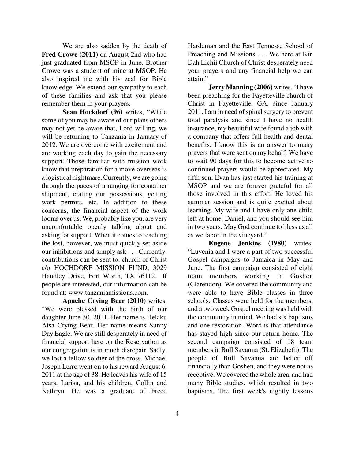We are also sadden by the death of **Fred Crowe (2011)** on August 2nd who had just graduated from MSOP in June. Brother Crowe was a student of mine at MSOP. He also inspired me with his zeal for Bible knowledge. We extend our sympathy to each of these families and ask that you please remember them in your prayers.

**Sean Hockdorf (96)** writes, "While some of you may be aware of our plans others may not yet be aware that, Lord willing, we will be returning to Tanzania in January of 2012. We are overcome with excitement and are working each day to gain the necessary support. Those familiar with mission work know that preparation for a move overseas is a logistical nightmare. Currently, we are going through the paces of arranging for container shipment, crating our possessions, getting work permits, etc. In addition to these concerns, the financial aspect of the work looms over us. We, probably like you, are very uncomfortable openly talking about and asking for support. When it comes to reaching the lost, however, we must quickly set aside our inhibitions and simply ask . . . Currently, contributions can be sent to: church of Christ c/o HOCHDORF MISSION FUND, 3029 Handley Drive, Fort Worth, TX 76112. If people are interested, our information can be found at: www.tanzaniamissions.com.

**Apache Crying Bear (2010)** writes, "We were blessed with the birth of our daughter June 30, 2011. Her name is Helaku Atsa Crying Bear. Her name means Sunny Day Eagle. We are still desperately in need of financial support here on the Reservation as our congregation is in much disrepair. Sadly, we lost a fellow soldier of the cross. Michael Joseph Lerro went on to his reward August 6, 2011 at the age of 38. He leaves his wife of 15 years, Larisa, and his children, Collin and Kathryn. He was a graduate of Freed

Hardeman and the East Tennesse School of Preaching and Missions . . . We here at Kin Dah Lichii Church of Christ desperately need your prayers and any financial help we can attain."

**Jerry Manning (2006)** writes, "I have been preaching for the Fayetteville church of Christ in Fayetteville, GA, since January 2011. I am in need of spinal surgery to prevent total paralysis and since I have no health insurance, my beautiful wife found a job with a company that offers full health and dental benefits. I know this is an answer to many prayers that were sent on my behalf. We have to wait 90 days for this to become active so continued prayers would be appreciated. My fifth son, Evan has just started his training at MSOP and we are forever grateful for all those involved in this effort. He loved his summer session and is quite excited about learning. My wife and I have only one child left at home, Daniel, and you should see him in two years. May God continue to bless us all as we labor in the vineyard."

**Eugene Jenkins (1980)** writes: "Luvenia and I were a part of two successful Gospel campaigns to Jamaica in May and June. The first campaign consisted of eight team members working in Goshen (Clarendon). We covered the community and were able to have Bible classes in three schools. Classes were held for the members, and a two week Gospel meeting was held with the community in mind. We had six baptisms and one restoration. Word is that attendance has stayed high since our return home. The second campaign consisted of 18 team members in Bull Savanna (St. Elizabeth). The people of Bull Savanna are better off financially than Goshen, and they were not as receptive. We covered the whole area, and had many Bible studies, which resulted in two baptisms. The first week's nightly lessons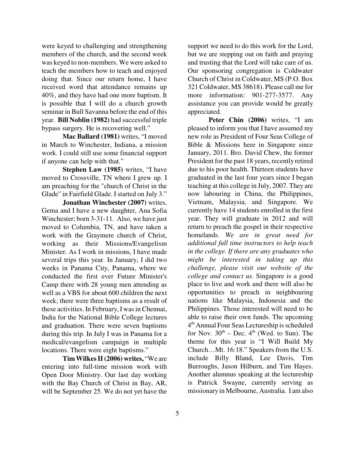were keyed to challenging and strengthening members of the church, and the second week was keyed to non-members. We were asked to teach the members how to teach and enjoyed doing that. Since our return home, I have received word that attendance remains up 40%, and they have had one more baptism. It is possible that I will do a church growth seminar in Bull Savanna before the end of this year. **Bill Noblin (1982)** had successful triple bypass surgery. He is recovering well."

**Mac Ballard (1981)** writes, "I moved in March to Winchester, Indiana, a mission work. I could still use some financial support if anyone can help with that."

**Stephen Law (1985)** writes, "I have moved to Crossville, TN where I grew up. I am preaching for the "church of Christ in the Glade" in Fairfield Glade. I started on July 3."

**Jonathan Winchester (2007)** writes, Gema and I have a new daughter, Ana Sofia Winchester; born 3-31-11. Also, we have just moved to Columbia, TN, and have taken a work with the Graymere church of Christ, working as their Missions/Evangelism Minister. As I work in missions, I have made several trips this year. In January, I did two weeks in Panama City, Panama, where we conducted the first ever Future Minister's Camp there with 28 young men attending as well as a VBS for about 600 children the next week; there were three baptisms as a result of these activities. In February, I was in Chennai, India for the National Bible College lectures and graduation. There were seven baptisms during this trip. In July I was in Panama for a medical/evangelism campaign in multiple locations. There were eight baptisms."

**Tim Wilkes II (2006) writes,** "We are entering into full-time mission work with Open Door Ministry. Our last day working with the Bay Church of Christ in Bay, AR, will be September 25. We do not yet have the

support we need to do this work for the Lord, but we are stepping out on faith and praying and trusting that the Lord will take care of us. Our sponsoring congregation is Coldwater Church of Christ in Coldwater, MS (P.O. Box 321 Coldwater, MS 38618). Please call me for more information: 901-277-3577. Any assistance you can provide would be greatly appreciated.

**Peter Chin (2006)** writes, "I am pleased to inform you that I have assumed my new role as President of Four Seas College of Bible & Missions here in Singapore since January, 2011. Bro. David Chew, the former President for the past 18 years, recently retired due to his poor health. Thirteen students have graduated in the last four years since I began teaching at this college in July, 2007. They are now labouring in China, the Philippines, Vietnam, Malaysia, and Singapore. We currently have 14 students enrolled in the first year. They will graduate in 2012 and will return to preach the gospel in their respective homelands. *We are in great need for additional full time instructors to help teach in the college. If there are any graduates who might be interested in taking up this challenge, please visit our website of the college and contact us.* Singapore is a good place to live and work and there will also be opportunities to preach in neighbouring nations like Malaysia, Indonesia and the Philippines. Those interested will need to be able to raise their own funds. The upcoming 4 th Annual Four Seas Lectureship is scheduled for Nov.  $30<sup>th</sup>$  – Dec.  $4<sup>th</sup>$  (Wed. to Sun). The theme for this year is "I Will Build My Church…Mt. 16:18." Speakers from the U.S. include Billy Bland, Lee Davis, Tim Burroughs, Jason Hilburn, and Tim Hayes. Another alumnus speaking at the lectureship is Patrick Swayne, currently serving as missionary in Melbourne, Australia. I am also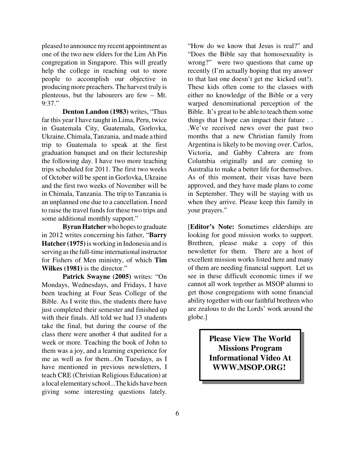pleased to announce my recent appointment as one of the two new elders for the Lim Ah Pin congregation in Singapore. This will greatly help the college in reaching out to more people to accomplish our objective in producing more preachers. The harvest truly is plenteous, but the labourers are few – Mt. 9:37."

**Denton Landon (1983)** writes, "Thus far this year I have taught in Lima, Peru, twice in Guatemala City, Guatemala, Gorlovka, Ukraine, Chimala, Tanzania, and made a third trip to Guatemala to speak at the first graduation banquet and on their lectureship the following day. I have two more teaching trips scheduled for 2011. The first two weeks of October will be spent in Gorlovka, Ukraine and the first two weeks of November will be in Chimala, Tanzania. The trip to Tanzania is an unplanned one due to a cancellation. I need to raise the travel funds for these two trips and some additional monthly support."

**Byran Hatcher** who hopes to graduate in 2012 writes concerning his father, "**Barry Hatcher (1975)** is working in Indonesia and is serving as the full-time international instructor for Fishers of Men ministry, of which **Tim Wilkes (1981)** is the director."

**Patrick Swayne (2005)** writes: "On Mondays, Wednesdays, and Fridays, I have been teaching at Four Seas College of the Bible. As I write this, the students there have just completed their semester and finished up with their finals. All told we had 13 students take the final, but during the course of the class there were another 4 that audited for a week or more. Teaching the book of John to them was a joy, and a learning experience for me as well as for them...On Tuesdays, as I have mentioned in previous newsletters, I teach CRE (Christian Religious Education) at a local elementary school...The kids have been giving some interesting questions lately.

"How do we know that Jesus is real?" and "Does the Bible say that homosexuality is wrong?" were two questions that came up recently (I'm actually hoping that my answer to that last one doesn't get me kicked out!). These kids often come to the classes with either no knowledge of the Bible or a very warped denominational perception of the Bible. It's great to be able to teach them some things that I hope can impact their future . . .We've received news over the past two months that a new Christian family from Argentina is likely to be moving over. Carlos, Victoria, and Gabby Cabrera are from Columbia originally and are coming to Australia to make a better life for themselves. As of this moment, their visas have been approved, and they have made plans to come in September. They will be staying with us when they arrive. Please keep this family in your prayers."

[**Editor's Note:** Sometimes elderships are looking for good mission works to support. Brethren, please make a copy of this newsletter for them. There are a host of excellent mission works listed here and many of them are needing financial support. Let us see in these difficult economic times if we cannot all work together as MSOP alumni to get those congregations with some financial ability together with our faithful brethren who are zealous to do the Lords' work around the globe.]

> **Please View The World Missions Program Informational Video At WWW.MSOP.ORG!**